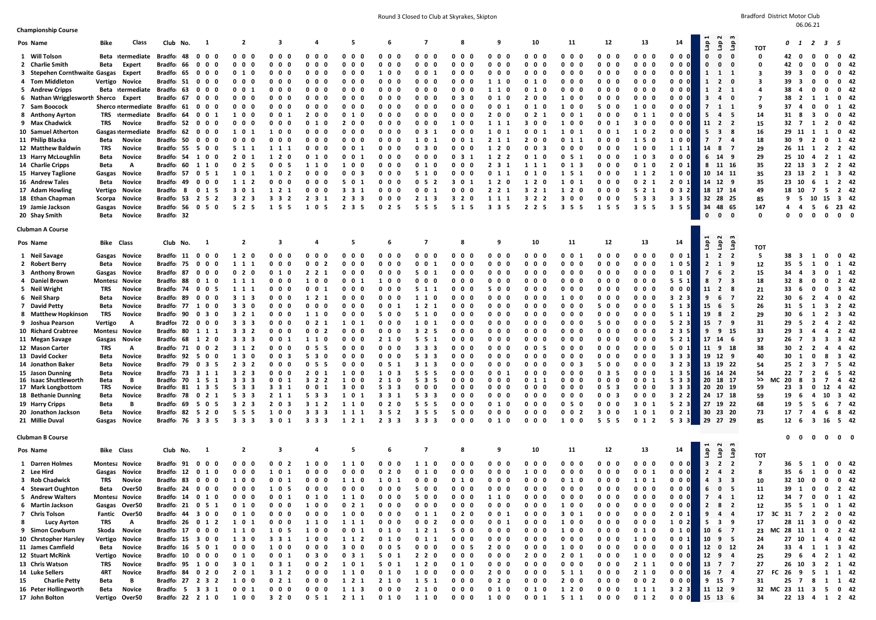Round 3 Closed to Club at Skyrakes, Skipton Bradford District Motor Club at Skyrakes, Skipton Bradford District Motor Club

| ÷ | 6.06. |  |
|---|-------|--|
|   |       |  |

| <b>Championship Course</b>           |                                           |       |            |                                    |                                |                          |                                   |                                   |                                           |                                         |                              |                                |                                              |                                     |                                    |                                |                       |                                                         |                              |                               |                                |                   |
|--------------------------------------|-------------------------------------------|-------|------------|------------------------------------|--------------------------------|--------------------------|-----------------------------------|-----------------------------------|-------------------------------------------|-----------------------------------------|------------------------------|--------------------------------|----------------------------------------------|-------------------------------------|------------------------------------|--------------------------------|-----------------------|---------------------------------------------------------|------------------------------|-------------------------------|--------------------------------|-------------------|
| Pos Name                             | Bike                                      | Class | Club No.   | $\mathbf{1}$                       | 2                              | -3                       | 4                                 | -5                                | 6                                         | $\overline{\phantom{a}}$                | 8                            | 9                              | 10                                           | 11                                  | 12                                 | 13                             | 14                    | ് പ<br>e.<br>ទឹ<br>ទី                                   |                              |                               | 0 1 2 3 5                      |                   |
| 1 Will Tolson                        | Beta itermediate                          |       | Bradfo 48  | $0\ 0\ 0$                          | $0\quad 0$<br>- 0              | 0 <sub>0</sub><br>- 0    | 0 <sub>0</sub><br>- 0             | 0<br>$\mathbf 0$<br>0             | 0<br>$\mathbf{0}$<br>0                    | $\mathbf{0}$<br>$\mathbf{0}$<br>0       | $0\quad 0$<br>0              | 0 <sub>0</sub><br>$\mathbf{0}$ | $\mathbf 0$<br>$0\quad 0$                    | 0<br>00                             | $\mathbf{0}$<br>$\mathbf 0$<br>- 0 | $0\ 0\ 0$                      | $0 \quad 0 \quad 0$   | $\mathbf{o}$<br>$\mathbf{0}$<br>$\mathbf{0}$            | <b>TOT</b><br>0              | 42 0                          | $\mathbf 0$<br>0               | $0\quad 42$       |
| 2 Charlie Smith                      | Beta<br>Expert                            |       | Bradfo 66  | $\mathbf 0$<br>$\mathbf{0}$<br>- 0 | 0 <sub>0</sub><br>0            | 0<br>- 0<br>- 0          | 0<br>0<br>0                       | 0<br>0<br>- 0                     | 0<br>0                                    | 0<br>0<br>n                             | 0<br>0<br>n                  | 0 <sub>0</sub><br>0            | 0<br>0<br>- 0                                | 0<br>$\mathbf{0}$<br>n              | 0<br>$\mathbf 0$<br>- 0            | $0\quad 0$<br>$\mathbf 0$      | $0\quad 0\quad 0$     | $\mathbf{0}$<br>0<br>- 0                                | 0                            | 42<br>0                       | $\mathbf{0}$<br>0              | $0$ 42            |
| 3 Stepehen Cornthwaite Gasgas Expert |                                           |       | Bradfo 65  | $0\quad 0$                         | 01                             | 0                        | 0 <sub>0</sub>                    | 0<br>$\mathbf 0$<br>- 0           | $\mathbf{0}$<br>1                         | 0<br>0                                  | 0<br>$\mathbf 0$             | $0\quad 0$                     | 0<br>0<br>0                                  | 0<br>0                              | 0 <sub>0</sub><br>- 0              | 0 <sub>0</sub><br>$\mathbf 0$  | $0\ 0\ 0$             | $\mathbf{1}$<br>$\mathbf{1}$<br>- 1                     | 3                            | 39<br>-3                      | 0<br>0                         | 0 <sub>42</sub>   |
| 4 Tom Middleton                      | Vertigo Novice                            |       | Bradfo 51  | $0\,0\,0$                          | $0\quad 0$<br>0                | 0<br>0<br>- 0            | 0 <sub>0</sub><br>- 0             | $\mathbf 0$<br>$\mathbf 0$<br>- 0 | 0<br>$\mathbf{0}$<br>0                    | 0<br>$\mathbf{0}$<br>0                  | 0<br>$\mathbf 0$<br>0        | 1 1<br>0                       | $\mathbf 0$<br>10                            | 0<br>$\mathbf{0}$<br>- 0            | $\mathbf 0$<br>$\mathbf 0$<br>- 0  | 0 <sub>0</sub><br>$\mathbf 0$  | $0\quad 0\quad 0$     | $\mathbf{1}$<br>$\overline{\mathbf{z}}$<br>$\mathbf{0}$ | 3                            | 39<br>$\overline{\mathbf{3}}$ | 0<br>$\mathbf{0}$              | $0$ 42            |
| 5 Andrew Cripps                      | Beta itermediate                          |       | Bradfo 63  | $0\quad 0$<br>- 0                  | $0\quad 0$<br>-1               | 0<br>- 0<br>- 0          | 0 <sub>0</sub><br>0               | 0<br>- 0<br>0                     | 0<br>0<br>- 0                             | 0<br>0<br>n                             | 0<br>- 0<br>n                | 1 1<br>0                       | 0<br><sup>1</sup><br>- 0                     | 0 <sub>0</sub><br>0                 | 0<br>$\mathbf 0$<br>- 0            | $0\quad 0$<br>- 0              | $0\quad 0\quad 0$     | $\mathbf{1}$<br>$\mathbf{2}$<br>- 1                     | 4                            | 38<br>-4                      | 0<br>n                         | 0 <sub>42</sub>   |
| 6 Nathan Wrigglesworth Sherco Expert |                                           |       | Bradfo 67  | $0\quad 0$<br>- 0                  | $0\quad 0$                     | 0<br>0                   | 0 <sub>0</sub>                    | 0<br>$\mathbf 0$<br>- 0           | 0<br>0                                    | 0<br>0                                  | 0 <sub>3</sub>               | 0 <sub>1</sub>                 | 2 <sub>0</sub><br>o                          | 1 0                                 | 0 <sub>0</sub><br>- 0              | $0\quad 0$<br>- 0              | $0\ 0\ 0$             | -3<br>-4<br>0                                           | 7                            | 38<br>$\overline{2}$          | -1                             | 0 <sub>42</sub>   |
| 7 Sam Boocock                        | Sherco ntermediate Bradfo 61              |       |            | $0\quad 0\quad 0$                  | 0 <sub>0</sub><br>- 0          | $\Omega$<br>0<br>- 0     | 0 <sub>0</sub><br>- 0             | 0<br>$\mathbf 0$<br>$\mathbf 0$   | 0<br>$\Omega$<br>- 0                      | 0<br>$\mathbf{0}$<br>- 0                | 0<br>0<br>- 0                | $0 \t0 \t1$                    | $\mathbf 0$<br>- 0<br>1                      | $\mathbf{0}$<br>0<br>-1             | 5<br>$\mathbf 0$<br>0              | 10<br>$\mathbf 0$              | $0\quad 0\quad 0$     | 7<br>$\mathbf{1}$<br>- 1                                | 9                            | 37<br>-4                      | O<br>$\Omega$                  | 1 42              |
| 8 Anthony Ayrton                     | TRS itermediate                           |       | Bradfo 64  | 001                                | 1 0<br>0                       | 0<br>- 0                 | 20<br>0                           | 0<br>- 0<br>-1                    | 0<br>0<br>- 0                             | 0<br>0<br>0                             | 0<br>0<br>n                  | 2 0<br>0                       | 0<br>2 1                                     | 0 <sub>0</sub>                      | 0<br>$\mathbf 0$<br>- 0            | $0\quad1$<br>-1                | $0\quad 0\quad 0$     | $\sim$<br>$\overline{a}$<br>- 5                         | 14                           | 31<br>-8                      | - 3<br>0                       | $0$ 42            |
| 9 Max Chadwick                       | TRS<br>Novice                             |       | Bradfo 52  | $0\quad 0$<br>- 0                  | $0\quad 0$                     | 0<br>0                   | 0 <sub>1</sub>                    | 2 <sub>0</sub><br>- 0             | 0<br>0                                    | $0\quad 0$                              | 1 0                          | $1\quad1$                      | 30<br>-0                                     | 1 0                                 | 0 <sub>0</sub><br>- 1              | 30<br>- 0                      | $0\ 0\ 0$             | 11 2<br>- 2                                             | 15                           | $32 \quad 7$                  | -2<br>1                        | $0$ 42            |
| 10 Samuel Atherton                   | Gasgas itermediate                        |       | Bradfo 62  | $0\quad 0\quad 0$                  | 1 0 1                          | 1<br>0<br>- 0            | 0 <sub>0</sub><br>- 0             | 0<br>0<br>$\mathbf 0$             | 0<br>$\mathbf{0}$<br>- 0                  | 0 <sub>3</sub><br>-1                    | 0<br>$\mathbf 0$<br>$\Omega$ | 10<br>-1                       | 0<br>0 <sub>1</sub>                          | 10<br>- 1                           | $\mathbf 0$<br>$\mathbf 0$<br>- 1  | 10<br>-2                       | $0\quad 0\quad 0$     | 5<br>$\mathbf{3}$<br>-8                                 | 16                           | 29 11                         | -1<br>-1                       | 0 <sub>42</sub>   |
| 11 Philip Blacka                     | Beta<br>Novice                            |       | Bradfo 50  | $0\quad 0\quad 0$                  | 0 <sub>0</sub><br>0            | 0<br>0<br>- 0            | 0 <sub>0</sub><br>0               | 0<br>$\mathbf{0}$<br>- 0          | 0<br>0<br>- 0                             | 10<br>-1                                | 0<br>0                       | 2 <sub>1</sub><br>-1           | $\mathbf{2}$<br>- 0<br>$\mathbf{0}$          | 011                                 | 0 <sub>0</sub><br>- 0              | 15<br>$\mathbf{0}$             | 100                   | 7<br>7<br>- 4                                           | 18                           | 30<br>9                       | $\overline{2}$<br>0            | 1 42              |
| 12 Matthew Baldwin                   | TRS<br>Novice                             |       | Bradfo 55  | 500                                | 5 1 1                          | 1 1<br>- 1               | $0\quad 0$<br>- 0                 | $0\quad 0$<br>- 1                 | $\mathbf{0}$<br>0                         | 0 <sub>3</sub><br>0                     | $0\quad 0$<br>- 0            | 1 2<br>-0                      | 0<br>0<br>- 3                                | $0\quad 0$<br>- 0                   | 0 <sub>0</sub><br>- 0              | 10<br>- 0                      | 1 1 1                 | 14<br>- 8<br>- 7                                        | 29                           | 26 11                         | $\mathbf{1}$<br>2              | 2 42              |
| 13 Harry McLoughlin                  | Beta<br>Novice                            |       | Bradfo 54  | 10<br>0                            | 2 <sub>0</sub><br>$\mathbf{1}$ | 1<br>$\overline{2}$<br>0 | 0 <sub>1</sub><br>- 0             | $\mathbf 0$<br>$\mathbf 0$<br>- 1 | 0<br>0<br>- 0                             | 0<br>0<br>- 0                           | 0 <sub>3</sub><br>- 1        | $1\quad2$<br>-2                | 0<br>$\mathbf{0}$<br>1                       | 5 1<br>0                            | 0<br>0<br>$\mathbf 0$              | 10<br>-3                       | $0\quad 0\quad 0$     | 6<br>14<br>- 9                                          | 29                           | 25 10                         | $\mathbf{2}$<br>-4             | 1 42              |
| 14 Charlie Cripps                    | Beta<br>A                                 |       | Bradfo 60  | 1 1<br>- 0                         | 0 <sub>2</sub><br>- 5          | 0<br>0<br>5              | 1 1<br>- 0                        | $\mathbf 0$<br>- 0<br>1           | 0<br>0                                    | 0<br>1                                  | 0<br>$\mathbf 0$<br>n        | 2 <sub>3</sub><br>$\mathbf{1}$ | 1<br>1 1                                     | $0 \t1 \t3$                         | 0<br>$\mathbf 0$<br>- 0            | 0 <sub>1</sub><br>$\mathbf{0}$ | 2 0 1                 | 8<br>11 16                                              | 35                           | 22 13                         | $\mathbf{2}$<br>- 3            | 2 42              |
| 15 Harvey Taglione                   | Gasgas<br>Novice                          |       | Bradfo 57  | 051                                | 1 0 1                          | 1<br>0<br>- 2            | 0 <sub>0</sub><br>0               | 0<br>$\mathbf 0$<br>- 3           | $\mathbf{0}$<br>0                         | 5 <sub>1</sub><br>0                     | $0\quad 0$<br>- 0            | 0 <sub>1</sub><br>-1           | 010                                          | 1 5<br>- 1                          | 0 <sub>0</sub><br>- 0              | 1 1 2                          | 1 0 0                 | 10<br>14 11                                             | 35                           | 23 13                         | $\overline{\mathbf{2}}$<br>-1  | 3 42              |
| 16 Andrew Tales                      | Beta<br><b>Novice</b>                     |       | Bradfo 49  | $0\quad 0$<br>0                    | 1 1 2                          | 0<br>0<br>0              | 0 <sub>0</sub><br>0               | 5<br>$\mathbf 0$<br>- 1           | $\mathbf{0}$<br>- 0<br>0                  | 0<br>- 5<br>$\overline{2}$              | 3<br>$\mathbf{0}$<br>-1      | $1\quad2$<br>$\mathbf{0}$      | $1\quad2$<br>0                               | $\mathbf 0$<br>-1<br>- 1            | 0<br>0<br>$\mathbf 0$              | 021                            | 201                   | 14 12 9                                                 | 35                           | 23 10                         | 6<br>-1                        | 2 42              |
| 17 Adam Howling                      | Vertigo<br>Novice                         |       | Bradfo 8   | 0 1 5                              | 30<br>1                        | 1 2 1                    | 0 <sub>0</sub><br>$\mathbf{0}$    | 3 3 1                             | 0<br>$\mathbf{0}$<br>0                    | $0\quad 0$<br>1                         | 0<br>0<br>$\mathbf{0}$       | 2 2<br>-1                      | $3 \t2 \t1$                                  | 1 2 0                               | 0<br>$\mathbf 0$<br>0              | 5 2<br>1                       | $0 \t3 \t2$           | 18 17 14                                                | 49                           | 18 10                         | -7<br>-5                       | 2 42              |
| 18 Ethan Chapman                     | Novice<br>Scorpa                          |       | Bradfo 53  | 2 5 2                              | 3 2 3                          | 3 3 2                    | 2 <sub>3</sub><br>- 1             | 2 <sub>3</sub><br>- 3             | $0\ 0\ 0$                                 | 2 1 3                                   | 320                          | 1 1 1                          | $3 \t2 \t2$                                  | 3 0 0                               | 0 <sub>0</sub><br>$\mathbf{0}$     | 5 3 3                          | $3 \t3 \t5$           | 32 28<br>- 25                                           | 85                           | 9<br>- 5                      | 10<br>15                       | 3 42              |
| 19 Jamie Jackson                     | Gasgas<br>Novice                          |       | Bradfo 56  | 0 <sub>5</sub><br>0                | 525                            | 1 5<br>- 5               | 1 0<br>5                          | 2 <sub>3</sub><br>- 5             | $0 \t2 \t5$                               | $5\quad 5\quad 5$                       | 5 <sub>1</sub><br>5          | 3 <sub>3</sub><br>5            | 2 2 5                                        | $3\quad 5\quad 5$                   | - 5<br>1 5                         | 3 5 5                          | 355                   | 34<br>48<br>65                                          | 147                          | 4<br>4                        | 6<br>- 5                       | 23 42             |
| 20 Shay Smith                        | Beta<br>Novice                            |       | Bradfo 32  |                                    |                                |                          |                                   |                                   |                                           |                                         |                              |                                |                                              |                                     |                                    |                                |                       | $\mathbf{0}$<br>0<br>0                                  | 0                            | $\mathbf 0$<br>0              | 0<br>0                         | $0\quad 0$        |
|                                      |                                           |       |            |                                    |                                |                          |                                   |                                   |                                           |                                         |                              |                                |                                              |                                     |                                    |                                |                       |                                                         |                              |                               |                                |                   |
| <b>Clubman A Course</b>              |                                           |       |            |                                    |                                |                          |                                   |                                   |                                           |                                         |                              |                                |                                              |                                     |                                    |                                |                       | $\blacksquare$                                          |                              |                               |                                |                   |
| Pos Name                             | <b>Bike Class</b>                         |       | Club No.   | $\mathbf{1}$                       | $\mathbf{2}$                   | -3                       | 4                                 | - 5                               | 6                                         | $\overline{\phantom{a}}$                | 8                            | 9                              | 10                                           | 11                                  | 12                                 | 13                             | 14                    | ് സ<br>ទិ<br>ទិ<br>$\frac{8}{2}$                        |                              |                               |                                |                   |
|                                      |                                           |       |            |                                    |                                |                          |                                   |                                   |                                           |                                         |                              |                                |                                              |                                     |                                    |                                |                       |                                                         | TOT                          |                               |                                |                   |
| 1 Neil Savage                        | Gasgas<br>Novice                          |       | Bradfo 11  | $\mathbf{0}$<br>$\mathbf 0$<br>- 0 | 1 2<br>0                       | 0<br>0<br>-0             | 0 <sub>0</sub><br>0               | 0<br>0<br>- 0                     | 0<br>0                                    | 0<br>0                                  | $\mathbf 0$<br>0<br>n        | 0 <sub>0</sub><br>0            | 0<br>$0\quad 0$                              | 0<br>$\mathbf{0}$                   | $\mathbf{0}$<br>$\mathbf 0$<br>- 0 | 0 <sub>0</sub><br>$\mathbf 0$  | $0 \t 0 \t 1$         | $\mathbf{1}$<br>- 2<br>-2                               | 5                            | 38<br>$\overline{\mathbf{3}}$ | 1<br>0                         | $0\quad 42$       |
| 2 Robert Berry                       | Beta<br>Novice                            |       | Bradfo 75  | $\mathbf 0$<br>$\mathbf 0$<br>- 0  | 1 1 1                          | 0<br>0<br>-0             | 0<br>0<br>$\overline{\mathbf{2}}$ | 0<br>$\mathbf 0$<br>- 0           | 0<br>0                                    | 0<br>$\mathbf{0}$<br>-1                 | 0<br>0                       | 0 <sub>0</sub><br>0            | 0<br>0<br>-0                                 | 0<br>$\mathbf 0$<br>0               | 0<br>$\mathbf 0$<br>- 0            | 0 <sub>0</sub><br>$\mathbf 0$  | $1 \t0 \t5$           | $\mathbf{z}$<br>$\mathbf{1}$<br>-9                      | 12                           | 35<br>- 5                     | $\mathbf{0}$<br>1              | 1 42              |
| 3 Anthony Brown                      | Gasgas Novice                             |       | Bradfo 87  | $0\quad 0$<br>0                    | 0 <sub>2</sub><br>0            | 0<br><sup>1</sup><br>0   | 2 <sub>2</sub><br>-1              | 0<br>- 0<br>$\mathbf{0}$          | 0<br>0<br>- 0                             | 5<br>0<br>-1                            | 0<br>- 0<br>n                | 0 <sub>0</sub><br>- 0          | 0<br>0<br>- 0                                | 0<br>0                              | $\mathbf{0}$<br>$\mathbf 0$<br>- 0 | 0 <sub>0</sub><br>- 0          | 010                   | 7<br>6<br>- 2                                           | 15                           | 34<br>$\overline{4}$          | - 3<br>0                       | 1 42              |
| 4 Daniel Brown                       | Montes: Novice                            |       | Bradfo 88  | 010                                | 1 1 1                          | 0<br>0<br>- 0            | 1 0<br>0                          | 0<br>$\mathbf 0$<br>1             | 1<br>$\mathbf{0}$<br>0                    | $0\quad 0$<br>0                         | $0\quad 0$<br>0              | 0 <sub>0</sub><br>0            | 0<br>0<br>- 0                                | 0 <sub>0</sub><br>-0                | 0 <sub>0</sub><br>- 0              | $0\quad 0$<br>$\mathbf 0$      | 551                   | 7<br>8<br>- 3                                           | 18                           | 32 <sub>8</sub>               | 0<br>$\mathbf{0}$              | 2 42              |
| 5 Neil Wright                        | TRS<br>Novice                             |       | Bradfo 74  | $0\quad0\quad5$                    | 1 1 1                          | 0<br>- 0<br>0            | $\mathbf 0$<br>0                  | 0<br>$\mathbf 0$<br>- 0           | 0<br>0<br>- 0                             | 5 <sub>1</sub><br>- 1                   | 0<br>0<br>n                  | 5 0<br>0                       | 0<br>0<br>0                                  | 0<br>$\mathbf{0}$<br>0              | 0<br>$\mathbf 0$<br>- 0            | $0\quad 0$<br>- 0              | $0\quad 0\quad 0$     | 11<br>$\mathbf{2}$<br>-8                                | 21                           | 33<br>- 6                     | 0<br>$\Omega$                  | $3 \quad 42$      |
| 6 Neil Sharp                         | <b>Novice</b><br>Beta                     |       | Bradfo 89  | 0 <sub>0</sub><br>0                | 3 1 3                          | $\mathbf 0$<br>0<br>0    | 1 2                               | 0<br>- 0<br>$\mathbf{0}$          | 0<br>$\mathbf{0}$                         | 1 1                                     | 0<br>0                       | 0 <sub>0</sub><br>-0           | 0<br>0<br>- 0                                | 0                                   | $\mathbf{0}$<br>$\mathbf 0$<br>- 0 | 0 <sub>0</sub><br>$\mathbf 0$  | 3 2 3                 | 9<br>6<br>- 7                                           | 22                           | 30<br>- 6                     | $\overline{2}$<br>4            | $0$ 42            |
| 7 David Petty                        | Beta<br>Novice                            |       | Bradfo 77  | 10<br>0                            | 3 <sub>3</sub><br>0            | 0<br>0<br>- 0            | 0 <sub>0</sub><br>0               | 0<br>$\mathbf 0$<br>$\mathbf 0$   | 0<br>$\mathbf{0}$<br>- 1                  | 1 2 1                                   | 0<br>$\mathbf{0}$<br>0       | 0 <sub>0</sub><br>0            | 0<br>0<br>- 0                                | 0<br>$\mathbf{0}$<br>-0             | 5<br>$\mathbf 0$<br>- 0            | 0 <sub>0</sub><br>$\mathbf 0$  | $5 \t1 \t3$           | 15<br>6<br>- 5                                          | 26                           | $31 \quad 5$                  | 1<br>-3                        | 2 42              |
| 8 Matthew Hopkinson                  | TRS<br>Novice                             |       | Bradfo 90  | 030                                | 3 <sub>2</sub><br>- 1          | 0<br>0<br>- 0            | 1 1<br>- 0                        | 0<br>- 0<br>0                     | 5<br>0<br>- 0                             | 5 <sub>1</sub><br>0                     | 0<br>0<br>- 0                | $0\quad 0$<br>0                | 0<br>0<br>- 0                                | 0<br>$\mathbf{0}$<br>0              | 0<br>$\mathbf 0$<br>- 0            | $0\quad 0$<br>$\mathbf 0$      | $5 \t1 \t1$           | 19<br>8<br>- 2                                          | 29                           | 30<br>- 6                     | 1<br>-2                        | 3 42              |
| 9 Joshua Pearson                     | Vertigo<br>A                              |       | Bradfor 72 | $0\quad 0$<br>0                    | 3 <sub>3</sub><br>-3           | 0<br>0                   | 021                               | 1 0                               | 0<br>0                                    | 10                                      | 0<br>0                       | 0 <sub>0</sub>                 | 0<br>0<br>0                                  | 0<br>0                              | 50<br>- 0                          | 0 <sub>0</sub><br>$\mathbf 0$  | $5 \t2 \t3$           | 15<br>7<br>- 9                                          | 31                           | 29<br>- 5                     | - 2<br>4                       | 2 42              |
| 10 Richard Crabtree                  | Montesa Novice                            |       | Bradfo 80  | 1 1<br>-1                          | 3 3 2                          | 0<br>0<br>- 0            | 0 <sub>0</sub><br>- 2             | $\mathbf 0$<br>$\mathbf 0$<br>0   | $\mathbf{0}$<br>$\mathbf{0}$<br>0         | 3 2 5                                   | 0<br>0<br>0                  | 0 <sub>0</sub><br>0            | 0 <sub>0</sub><br>- 0                        | 0<br>$\mathbf{0}$<br>- 0            | $\mathbf 0$<br>$\mathbf 0$<br>- 0  | 0 <sub>0</sub><br>$\mathbf 0$  | 2 3 5                 | 9<br>9<br>15                                            | 33                           | 29<br>$\overline{\mathbf{3}}$ | 4<br>4                         | 2 42              |
| 11 Megan Savage                      | Novice<br>Gasgas                          |       | Bradfo 68  | 1 2<br>0                           | 3 <sub>3</sub><br>-3           | 0<br>0<br>- 1            | 1 1<br>0                          | 0<br>- 0<br>0                     | 2 <sub>1</sub><br>0                       | 55<br>- 1                               | $\mathbf{0}$<br>0<br>n       | 0 <sub>0</sub><br>0            | 0<br>0<br>- 0                                | 0<br>- 0<br>0                       | 0<br>$\mathbf 0$<br>- 0            | 0 <sub>0</sub><br>$\mathbf 0$  | 521                   | 17<br>14<br>- 6                                         | 37                           | 26<br>$\overline{7}$          | - 3<br>-3                      | 3 42              |
| 12 Mason Carter                      | TRS<br>A                                  |       | Bradfo 71  | $0\quad 0$<br>-2                   | 3 1                            | 0<br>0                   | 0 <sub>5</sub><br>-5              | 0<br>$\mathbf 0$<br>- 0           | $\mathbf{0}$<br>0                         | 3 <sub>3</sub><br>- 3                   | 0<br>0                       | $0\quad 0$                     | 0<br>0                                       | 0<br>0                              | $\mathbf{0}$<br>$\mathbf 0$<br>- 0 | 0 <sub>0</sub><br>$\mathbf{0}$ | 5 0 1                 | 11 9<br>- 18                                            | 38                           | 30<br>- 2                     | -2<br>4                        | 4 42              |
| 13 David Cocker                      | Beta<br>Novice                            |       | Bradfo 92  | 50<br>0                            | 1 <sub>3</sub><br>$\mathbf 0$  | $0 \t0 \t3$              | 53<br>- 0                         | 0<br>$\mathbf 0$<br>0             | 0 <sub>0</sub><br>0                       | 5 3 3                                   | 0<br>$\mathbf{0}$<br>0       | 0 <sub>0</sub><br>0            | 0 <sub>0</sub><br>- 0                        | 0<br>$\mathbf{0}$<br>- 0            | $\mathbf{0}$<br>$\mathbf 0$<br>- 0 | 0 <sub>0</sub><br>$\mathbf 0$  | 3 <sub>3</sub><br>- 3 | 19 12<br>- 9                                            | 40                           | 30<br><sup>1</sup>            | 0<br>8                         | 3 42              |
| 14 Jonathon Baker                    | <b>Novice</b><br>Beta                     |       | Bradfo 79  | 0 <sub>3</sub><br>- 5              | 2 3 2                          | 0<br>0<br>- 0            | 0 <sub>5</sub><br>- 5             | 0<br>$\mathbf 0$<br>- 0           | 5 1<br>0                                  | 3 <sub>1</sub><br>- 3                   | $0\quad 0$<br>- 0            | 0 <sub>0</sub><br>0            | 0<br>0<br>- 0                                | 0 <sub>0</sub><br>-3                | 5 0<br>- 0                         | 0 <sub>0</sub><br>$\mathbf 0$  | 3 2 3                 | 13 19 22                                                | 54                           | 25<br>$\overline{2}$          | - 3<br>-7                      | 5 42              |
| 15 Jason Dunning                     | Beta<br>Novice                            |       | Bradfo 73  | 3 <sub>1</sub>                     | 3 <sub>2</sub><br>-3           | 0<br>0<br>-0             | 2 <sub>0</sub><br>-1              | 1 0<br>- 0                        | 1<br>$\mathbf{0}$<br>-3                   | 5 5<br>- 5                              | $0\quad 0$                   | 0 <sub>0</sub>                 | $0\quad 0$<br>0                              | 0<br>0                              | 0 <sub>3</sub><br>- 5              | $0\quad 0$                     | $1 \t3 \t5$           | 16<br>14 24                                             | 54                           | 22<br>$\mathbf{7}$            | $\overline{2}$<br>6            | 5 <sub>42</sub>   |
| 16 Isaac Shuttleworth                | В<br>Beta                                 |       | Bradfo 70  | 15<br>-1                           | 3 <sub>3</sub><br>-3           | 0<br>0 <sub>1</sub>      | 32<br>$\overline{\mathbf{2}}$     | 1<br>$\mathbf 0$<br>0             | 2 <sub>1</sub><br>0                       | 5 3<br>- 5                              | 0 <sub>0</sub><br>0          | $0\quad 0$<br>0                | 0<br>1<br>- 1                                | 0 <sub>0</sub><br>0                 | 0 <sub>0</sub><br>0                | $0\quad 0$<br>-1               | $5 \t3 \t3$           | 18 17<br>20                                             | 55                           | 20<br>МC<br>8                 | - 3<br>-7                      | 4 42              |
| 17 Mark Longbottom                   | TRS<br>Novice                             |       | Bradfo 81  | 1 3 5                              | 5 3 3                          | 3 3 1                    | 0 <sub>0</sub><br>1               | 30<br>0                           | 53<br>3                                   | $0\quad 0$<br>$\mathbf 0$               | 0 <sub>0</sub><br>0          | $0\quad 0$<br>$\mathbf 0$      | 0 <sub>0</sub><br>- 0                        | 0 <sub>0</sub><br>- 0               | 0<br>53                            | $0\ 0\ 0$                      | 3 3 3                 | 20 20 19                                                | 59                           | 23<br>$\overline{\mathbf{3}}$ | $\mathbf 0$<br>12              | 4 42              |
| 18 Bethanie Dunning                  | Beta<br>Novice                            |       | Bradfo 78  | $0 \t2 \t1$                        | 5 3 3                          | 2 1 1                    | 5 3 3                             | 10<br>$\mathbf{1}$                | 3 3 1                                     | 5 3<br>- 3                              | $0\quad 0$<br>0              | 0 <sub>0</sub><br>0            | $0\ 0\ 0$                                    | 0 <sub>0</sub><br>0                 | 0 <sub>0</sub><br>- 3              | $0\quad 0$<br>$\mathbf{0}$     | $3 \t2 \t2$           | 24 17 18                                                | 59                           | 19<br>- 6                     | 10<br>-4                       | 3 <sub>42</sub>   |
| 19 Harry Cripps                      | В<br>Beta                                 |       | Bradfo 69  | 5<br>0<br>-5                       | 3 2 3                          | 2 <sub>0</sub><br>- 3    | 3 1<br>$\overline{\mathbf{2}}$    | 1 1<br>- 0                        | $\overline{2}$<br>0                       | 55<br>- 5                               | $0\quad 0$                   | 0 <sub>1</sub><br>-0           | $0\quad 0$<br>-0                             | 0 <sub>5</sub><br>- 0               | 0 <sub>0</sub><br>- 0              | 301                            | $5 \t2 \t3$           | 27 19 22                                                | 68                           | 19<br>- 5                     | - 5<br>6                       | 7 42              |
| 20 Jonathon Jackson                  | Beta<br><b>Novice</b>                     |       | Bradfo 82  | 52<br>0                            | 5 5 5                          | 1<br>0<br>- 0            | 3<br>3<br>- 3                     | 1<br>1<br>1                       | 3 <sub>5</sub><br>$\overline{\mathbf{2}}$ | 3 5 5                                   | 5<br>0<br>0                  | 0 <sub>0</sub><br>$\mathbf{0}$ | $\mathbf 0$<br>0<br>- 0                      | 0<br>$\mathbf{0}$<br>$\overline{2}$ | 3<br>0<br>$\mathbf 0$              | 10<br>1                        | $0 \t2 \t1$           | 30<br>23 20                                             | 73                           | 17 <sub>7</sub>               | -4<br>6                        | 8 42              |
| 21 Millie Duval                      | Gasgas<br>Novice                          |       |            | Bradfo: 76 3 3 5                   | 3 3 3                          | 3 0 1                    | 3 3 3                             | 1 2 1                             | 2 3 3                                     | 3 3 3                                   | $0\quad 0\quad 0$            | 0 <sub>1</sub><br>$\mathbf 0$  | $0\quad 0\quad 0$                            | 0<br>10                             | 5 5 5                              | $0$ 1 2                        | 5 3 3                 | 29 27 29                                                | 85                           | $12 \quad 6$                  | 16<br>- 3                      | 5 42              |
|                                      |                                           |       |            |                                    |                                |                          |                                   |                                   |                                           |                                         |                              |                                |                                              |                                     |                                    |                                |                       |                                                         |                              |                               |                                |                   |
| <b>Clubman B Course</b>              |                                           |       |            |                                    |                                |                          |                                   |                                   |                                           |                                         |                              |                                |                                              |                                     |                                    |                                |                       | $\blacksquare$<br>പ പ                                   |                              | $0\quad 0$                    | $\mathbf 0$                    | $0\quad 0\quad 0$ |
| Pos Name                             | <b>Bike Class</b>                         |       | Club No.   | $\overline{\mathbf{1}}$            | $\overline{2}$                 | -3                       | 4                                 | -5                                | 6                                         | 7                                       | 8                            | 9                              | 10                                           | 11                                  | 12                                 | 13                             | 14                    | $\frac{9}{2}$<br>ae<br>L<br>å                           |                              |                               |                                |                   |
| 1 Darren Holmes                      |                                           |       | Bradfo 91  | 0<br>$\mathbf 0$<br>0              | 0 <sub>0</sub><br>-0           | 0<br>0<br>- 2            | 10<br>- 0                         | 1 1<br>- 0                        | 0<br>0<br>0                               |                                         | $0\quad 0$<br>- 0            | $0\quad 0$<br>0                | 0<br>0<br>- 0                                | 0<br>$\mathbf{0}$<br>- 0            | 0 <sub>0</sub><br>- 0              | $0\quad 0\quad 0$              | $0 \quad 0 \quad 0$   | $\overline{\mathbf{3}}$<br>- 2                          | <b>TOT</b><br>$\overline{7}$ | 36 5                          | $\mathbf{0}$<br>- 1            | $0\quad 42$       |
| 2 Lee Hird                           | <b>Montes: Novice</b><br>Gasgas<br>Novice |       | Bradfo 12  | 010                                | 0 <sub>0</sub><br>- 0          | 1<br>0                   | 0<br>0<br>0                       | 0<br>0<br>0                       | - 0<br>0<br>$\mathbf{2}$                  | $1\quad1$<br>0<br>0 <sub>1</sub><br>- 0 | 0<br>$\mathbf 0$<br>$\Omega$ | 0<br>0<br>$\mathbf{0}$         | 1<br>0<br>0                                  | 0<br>0<br>0                         | $\mathbf 0$<br>0<br>$\mathbf 0$    | 0 <sub>0</sub><br>-1           | $0\quad 0\quad 0$     | $\mathbf{z}$<br>$\mathbf{z}$<br>$\overline{4}$<br>-2    | 8                            | 35<br>6                       | $\Omega$<br>1                  | $0$ 42            |
|                                      | TRS                                       |       | Bradfo 83  |                                    |                                | $\mathbf 0$              |                                   |                                   | 1 0 1                                     | $0\quad 0$                              | - 0                          | 0 <sub>0</sub><br>0            | $0\quad 0\quad 0$                            | 010                                 | $0\quad 0\quad 0$                  | 1 0 1                          | $0\quad 0\quad 0$     | $\overline{a}$<br>- 3                                   |                              | 32 10                         | 0                              | $0\quad 42$       |
| 3 Rob Chadwick                       | Novice                                    |       |            | $0\ 0\ 0$                          | 10<br>$\mathbf 0$              | 0 <sub>1</sub>           | 0 <sub>0</sub><br>0               | 1 1 0                             |                                           | $\mathbf 0$                             | 0 <sub>1</sub>               |                                |                                              |                                     |                                    |                                |                       | - 3                                                     | 10                           |                               | $\mathbf{0}$                   |                   |
| 4 Stewart Oughton                    | Over50<br>Beta                            |       |            | Bradfo: 24 0 0 0                   | $0\ 0\ 0$                      | 1 0 5                    | $0\ 0\ 0$                         | $0\quad 0\quad 0$                 | $0\ 0\ 0$                                 | 5 0 0                                   | $0\ 0\ 0$                    | 0 <sub>0</sub><br>0            | $0\quad 0\quad 0$                            | $0\quad 0\quad 0$                   | $0\quad 0\quad 0$                  | $0\ 0\ 0$                      | $0 \quad 0 \quad 0$   | 6<br>0<br>- 5                                           | 11                           | 39 1 0                        | 0                              | 2 42              |
| 5 Andrew Walters                     | Montesa Novice                            |       |            |                                    |                                |                          |                                   |                                   |                                           |                                         |                              |                                |                                              |                                     |                                    |                                |                       |                                                         |                              |                               |                                |                   |
| 6 Martin Jackson                     | Gasgas Over50                             |       |            | Bradfo: 21 0 5 1                   | 010                            | $0\quad 0\quad 0$        | 100                               | $0 \t2 \t1$                       | 0 <sub>0</sub><br>0                       | $0\ 0\ 0$                               | $0\ 0\ 0$                    | $0\quad 0$<br>0                | 0<br>$\mathbf{0}$<br>$\overline{\mathbf{0}}$ | 1 0<br>- 0                          | $0\quad 0$<br>0                    | $0\quad 0$<br>$\mathbf 0$      | $0 \quad 0 \quad 0$   | $\mathbf{z}$<br>8<br>-2                                 | 12                           | 35<br>- 5                     | $\mathbf{1}$<br>0              | 1 42              |
| 7 Chris Tolson                       | Fantic Over50                             |       |            | Bradfo 44 3 0 0                    | 010                            | $0\quad 0$<br>- 0        | $0\ 0\ 0$                         | 100                               | $0\ 0\ 0$                                 | 011                                     | 020                          | $0\quad 0\quad 1$              | $0\quad 0\quad 0$                            | 3 0                                 | $0\quad 0\quad 0$                  | $0\quad 0$<br>$\mathbf 0$      | 201                   | 9<br>$4\quad 4$                                         | 17                           | 3C 31 7                       | $\overline{2}$<br>-2           | 0 42              |
| <b>Lucy Ayrton</b><br>8              | TRS<br>A                                  |       |            | Bradfo 26 0 1 2                    | 101                            | $0\ 0\ 0$                | 1 1 0                             | 1 1 1                             | $0\ 0\ 0$                                 | $0 \t0 \t2$                             | $0\quad 0$<br>0              | $0 \t 0 \t 1$                  | $0\ 0\ 0$                                    | 1 0<br>0                            | $0\quad 0\quad 0$                  | $0\quad 0\quad 0$              | $1 \quad 0 \quad 2$   | $5 \quad 3 \quad 9$                                     | 17                           | 28 11                         | - 3<br>0                       | $0$ 42            |
| 9 Simon Cowburn                      | Skoda<br><b>Novice</b>                    |       |            | Bradfo 17 0 0 0                    | 1 1 0                          | 1 0 5                    | 100                               | $0 \t0 \t1$                       | 010                                       | 1 2 1                                   | 5 0 0                        | $0\ 0\ 0$                      | $0\ 0\ 0$                                    | 100                                 | $0\quad 0\quad 0$                  | 010                            | 010                   | $10 \quad 6 \quad 7$                                    | 23                           | MC 28 11                      | 1<br>0                         | 2 42              |
| 10 Chrstopher Harsley                | Vertigo Novice                            |       |            | Bradfo 15 3 0 0                    | 1 3 0                          | 3 3 1                    | 100                               | 1 1 2                             | 010                                       | 011                                     | $0\quad 0\quad 0$            | 0 <sub>0</sub><br>$\mathbf 0$  | $0\ 0\ 0$                                    | $0\quad 0\quad 0$                   | $0\quad 0\quad 0$                  | 1 0 0                          | $0 \t 0 \t 1$         | 10<br>9 5                                               | 24                           | 27 10                         | 4<br>$\mathbf{1}$              | $0$ 42            |
| 11 James Camfield                    | Beta<br>Novice                            |       |            | Bradfo 16 5 0 1                    | $0\ 0\ 0$                      | 1 0 0                    | $0\quad 0\quad 0$                 | 3 0 0                             | $0 \t0 \t5$                               | $0\quad 0\quad 0$                       | $0 \t0 \t5$                  | 2 <sub>0</sub><br>0            | $0\ 0\ 0$                                    | 1 0 0                               | 0 <sub>0</sub><br>- 0              | $0\quad 0\quad 0$              | $0 \t 0 \t 1$         | 12 0 12                                                 | 24                           | 33 4                          | $\mathbf{1}$                   | 1 3 42            |
| 12 Stuart McRink                     | Vertigo Novice                            |       |            | Bradfo: 10 0 0 0                   | 010                            | $0 \t 0 \t 1$            | 030                               | $0 \t3 \t1$                       | 5 0 1                                     | $2 \quad 2 \quad 0$                     | $0\ 0\ 0$                    | $0\ 0\ 0$                      | 200                                          | 2 0 1                               | $0\ 0\ 0$                          | 100                            | $0 \quad 0 \quad 0$   | 12 9 4                                                  | 25                           | 29 6                          | $\overline{a}$<br>$\mathbf{2}$ | 1 42              |
| 13 Chris Watson                      | TRS<br><b>Novice</b>                      |       |            | Bradfo: 95 1 0 0                   | 3 0 1                          | $0 \t3 \t1$              | $0 \t0 \t2$                       | 1 0 1                             | 5 0 1                                     | 1 2 0                                   | 0 1 0                        | $0\quad 0\quad 0$              | $0\quad 0\quad 0$                            | $0\quad 0\quad 0$                   | $0\quad 0\quad 0$                  | 2 1 1                          | $0 \quad 0 \quad 0$   | 13 7 7                                                  | 27                           | 26 10 3                       |                                | 2 1 42            |
| 14 Luke Sellers                      | 4RT<br>Novice                             |       |            | Bradfo 84 0 2 0                    | 2 0 1                          | 3 1 2                    | $0\quad 0\quad 0$                 | 1 1 0                             | 010                                       | 100                                     | $0\quad 0\quad 0$            | 200                            | $0\ 0\ 0$                                    | 5 1 1                               | $0\quad 0\quad 0$                  | $2 \t1 \t0$                    | $0 \quad 0 \quad 0$   | $16 \t7 \t4$                                            | 27                           | FC 26 9 5                     |                                | 1 1 42            |
| <b>Charlie Petty</b><br>15           | в<br>Beta                                 |       |            | Bradfo: 27 2 3 2                   | 100                            | 021                      | $0\quad 0\quad 0$                 | 1 2 1                             | 2 1 0                                     | 1 5 1                                   | $0\quad 0\quad 0$            | 020                            | $0\quad 0\quad 0$                            | 2 0 0                               | $0\quad 0\quad 0$                  | $0 \t0 \t2$                    | $0 \quad 0 \quad 0$   | 9 15 7                                                  | 31                           |                               | 25 7 8 1 1 42                  |                   |
| 16 Peter Hollingworth                | Novice<br>Beta                            |       |            | Bradfo: 5 3 3 1                    | $0 \t0 \t1$                    | $0\quad 0\quad 0$        | $0\quad 0\quad 0$                 | 1 1 3                             | $0\quad 0\quad 0$                         | 2 1 0                                   | $0\quad 0\quad 0$            | $0$ 1 0                        | 010                                          | 1 2 0                               | $0\quad 0\quad 0$                  | 1 1 1                          | $3 \quad 2 \quad 3$   | 11 12 9                                                 |                              | 32 MC 23 11 3 5 0 42          |                                |                   |
| 17 John Bolton                       | Vertigo Over50                            |       |            | Bradfo: 22 2 1 0                   | 100                            | 3 2 0                    | $0 \t5 \t1$                       | 2 1 1                             | $0$ 1 0                                   | 1 1 0                                   | $0\quad 0\quad 0$            | 100                            | $0 \t0 \t1$                                  | 5 1 1                               | $0\quad 0\quad 0$                  | $0$ 1 2                        | $0$ 0 0               | 15 13 6                                                 | 34                           | 22 13 4 1 2 42                |                                |                   |